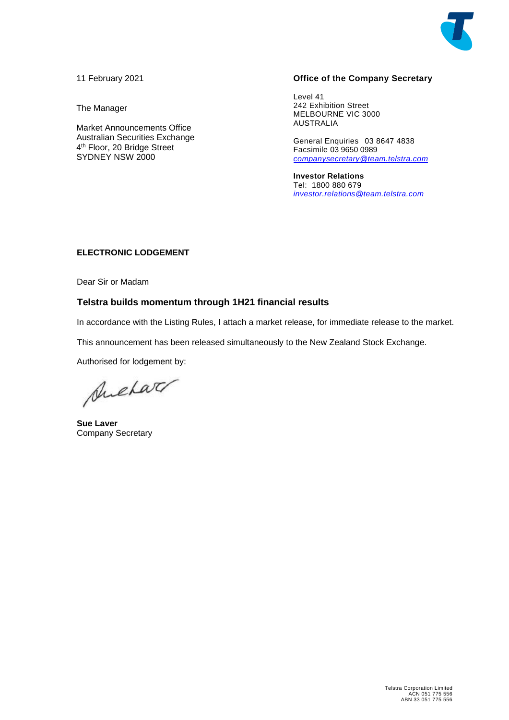

11 February 2021

The Manager

Market Announcements Office Australian Securities Exchange 4th Floor, 20 Bridge Street SYDNEY NSW 2000

#### **Office of the Company Secretary**

Level 41 242 Exhibition Street MELBOURNE VIC 3000 AUSTRALIA

General Enquiries 03 8647 4838 Facsimile 03 9650 0989 *[companysecretary@team.telstra.com](mailto:companysecretary@team.telstra.com)*

**Investor Relations** Tel: 1800 880 679 *[investor.relations@team.telstra.com](mailto:!%20Investor%20Relations%20%3cinvestor.relations@team.telstra.com%3e)*

#### **ELECTRONIC LODGEMENT**

Dear Sir or Madam

#### **Telstra builds momentum through 1H21 financial results**

In accordance with the Listing Rules, I attach a market release, for immediate release to the market.

This announcement has been released simultaneously to the New Zealand Stock Exchange.

Authorised for lodgement by:

Suchar

**Sue Laver** Company Secretary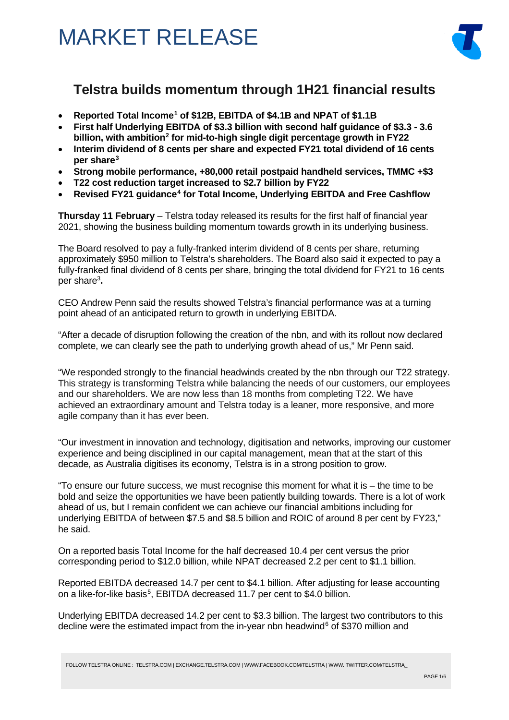

### **Telstra builds momentum through 1H21 financial results**

- **Reported Total Income[1](#page-5-0) of \$12B, EBITDA of \$4.1B and NPAT of \$1.1B**
- **First half Underlying EBITDA of \$3.3 billion with second half guidance of \$3.3 - 3.6 billion, with ambition[2](#page-5-1) for mid-to-high single digit percentage growth in FY22**
- **Interim dividend of 8 cents per share and expected FY21 total dividend of 16 cents per share[3](#page-5-2)**
- **Strong mobile performance, +80,000 retail postpaid handheld services, TMMC +\$3**
- **T22 cost reduction target increased to \$2.7 billion by FY22**
- **Revised FY21 guidance[4](#page-5-3) for Total Income, Underlying EBITDA and Free Cashflow**

**Thursday 11 February** – Telstra today released its results for the first half of financial year 2021, showing the business building momentum towards growth in its underlying business.

The Board resolved to pay a fully-franked interim dividend of 8 cents per share, returning approximately \$950 million to Telstra's shareholders. The Board also said it expected to pay a fully-franked final dividend of 8 cents per share, bringing the total dividend for FY21 to 16 cents per share3 **.**

CEO Andrew Penn said the results showed Telstra's financial performance was at a turning point ahead of an anticipated return to growth in underlying EBITDA.

"After a decade of disruption following the creation of the nbn, and with its rollout now declared complete, we can clearly see the path to underlying growth ahead of us," Mr Penn said.

"We responded strongly to the financial headwinds created by the nbn through our T22 strategy. This strategy is transforming Telstra while balancing the needs of our customers, our employees and our shareholders. We are now less than 18 months from completing T22. We have achieved an extraordinary amount and Telstra today is a leaner, more responsive, and more agile company than it has ever been.

"Our investment in innovation and technology, digitisation and networks, improving our customer experience and being disciplined in our capital management, mean that at the start of this decade, as Australia digitises its economy, Telstra is in a strong position to grow.

"To ensure our future success, we must recognise this moment for what it is – the time to be bold and seize the opportunities we have been patiently building towards. There is a lot of work ahead of us, but I remain confident we can achieve our financial ambitions including for underlying EBITDA of between \$7.5 and \$8.5 billion and ROIC of around 8 per cent by FY23," he said.

On a reported basis Total Income for the half decreased 10.4 per cent versus the prior corresponding period to \$12.0 billion, while NPAT decreased 2.2 per cent to \$1.1 billion.

Reported EBITDA decreased 14.7 per cent to \$4.1 billion. After adjusting for lease accounting on a like-for-like basis<sup>[5](#page-6-0)</sup>, EBITDA decreased 11.7 per cent to \$4.0 billion.

Underlying EBITDA decreased 14.2 per cent to \$3.3 billion. The largest two contributors to this decline were the estimated impact from the in-year nbn headwind<sup>[6](#page-6-1)</sup> of \$370 million and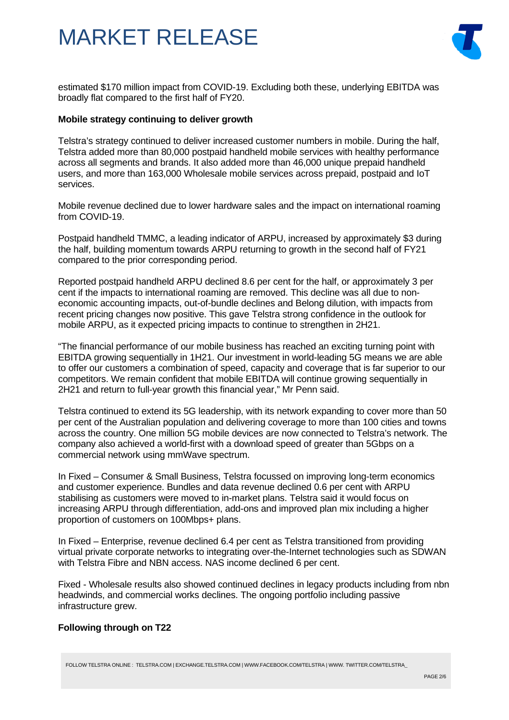

estimated \$170 million impact from COVID-19. Excluding both these, underlying EBITDA was broadly flat compared to the first half of FY20.

#### **Mobile strategy continuing to deliver growth**

Telstra's strategy continued to deliver increased customer numbers in mobile. During the half, Telstra added more than 80,000 postpaid handheld mobile services with healthy performance across all segments and brands. It also added more than 46,000 unique prepaid handheld users, and more than 163,000 Wholesale mobile services across prepaid, postpaid and IoT services.

Mobile revenue declined due to lower hardware sales and the impact on international roaming from COVID-19.

Postpaid handheld TMMC, a leading indicator of ARPU, increased by approximately \$3 during the half, building momentum towards ARPU returning to growth in the second half of FY21 compared to the prior corresponding period.

Reported postpaid handheld ARPU declined 8.6 per cent for the half, or approximately 3 per cent if the impacts to international roaming are removed. This decline was all due to noneconomic accounting impacts, out-of-bundle declines and Belong dilution, with impacts from recent pricing changes now positive. This gave Telstra strong confidence in the outlook for mobile ARPU, as it expected pricing impacts to continue to strengthen in 2H21.

"The financial performance of our mobile business has reached an exciting turning point with EBITDA growing sequentially in 1H21. Our investment in world-leading 5G means we are able to offer our customers a combination of speed, capacity and coverage that is far superior to our competitors. We remain confident that mobile EBITDA will continue growing sequentially in 2H21 and return to full-year growth this financial year," Mr Penn said.

Telstra continued to extend its 5G leadership, with its network expanding to cover more than 50 per cent of the Australian population and delivering coverage to more than 100 cities and towns across the country. One million 5G mobile devices are now connected to Telstra's network. The company also achieved a world-first with a download speed of greater than 5Gbps on a commercial network using mmWave spectrum.

In Fixed – Consumer & Small Business, Telstra focussed on improving long-term economics and customer experience. Bundles and data revenue declined 0.6 per cent with ARPU stabilising as customers were moved to in-market plans. Telstra said it would focus on increasing ARPU through differentiation, add-ons and improved plan mix including a higher proportion of customers on 100Mbps+ plans.

In Fixed – Enterprise, revenue declined 6.4 per cent as Telstra transitioned from providing virtual private corporate networks to integrating over-the-Internet technologies such as SDWAN with Telstra Fibre and NBN access. NAS income declined 6 per cent.

Fixed - Wholesale results also showed continued declines in legacy products including from nbn headwinds, and commercial works declines. The ongoing portfolio including passive infrastructure grew.

#### **Following through on T22**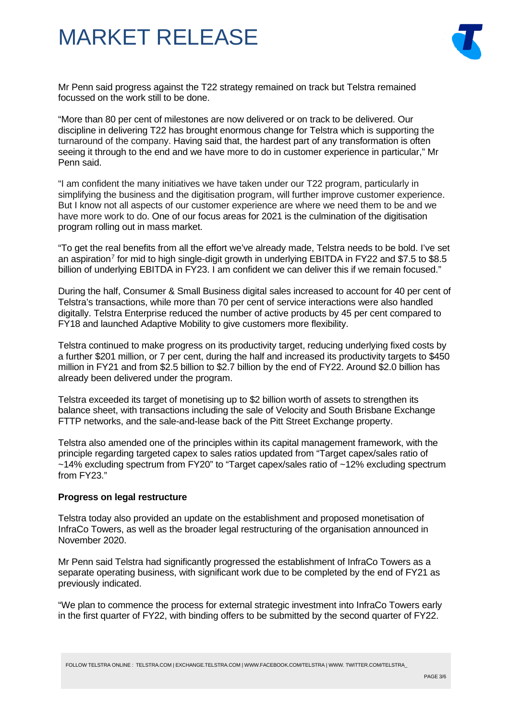

Mr Penn said progress against the T22 strategy remained on track but Telstra remained focussed on the work still to be done.

"More than 80 per cent of milestones are now delivered or on track to be delivered. Our discipline in delivering T22 has brought enormous change for Telstra which is supporting the turnaround of the company. Having said that, the hardest part of any transformation is often seeing it through to the end and we have more to do in customer experience in particular," Mr Penn said.

"I am confident the many initiatives we have taken under our T22 program, particularly in simplifying the business and the digitisation program, will further improve customer experience. But I know not all aspects of our customer experience are where we need them to be and we have more work to do. One of our focus areas for 2021 is the culmination of the digitisation program rolling out in mass market.

"To get the real benefits from all the effort we've already made, Telstra needs to be bold. I've set an aspiration<sup>[7](#page-6-2)</sup> for mid to high single-digit growth in underlying EBITDA in FY22 and \$7.5 to \$8.5 billion of underlying EBITDA in FY23. I am confident we can deliver this if we remain focused."

During the half, Consumer & Small Business digital sales increased to account for 40 per cent of Telstra's transactions, while more than 70 per cent of service interactions were also handled digitally. Telstra Enterprise reduced the number of active products by 45 per cent compared to FY18 and launched Adaptive Mobility to give customers more flexibility.

Telstra continued to make progress on its productivity target, reducing underlying fixed costs by a further \$201 million, or 7 per cent, during the half and increased its productivity targets to \$450 million in FY21 and from \$2.5 billion to \$2.7 billion by the end of FY22. Around \$2.0 billion has already been delivered under the program.

Telstra exceeded its target of monetising up to \$2 billion worth of assets to strengthen its balance sheet, with transactions including the sale of Velocity and South Brisbane Exchange FTTP networks, and the sale-and-lease back of the Pitt Street Exchange property.

Telstra also amended one of the principles within its capital management framework, with the principle regarding targeted capex to sales ratios updated from "Target capex/sales ratio of ~14% excluding spectrum from FY20" to "Target capex/sales ratio of ~12% excluding spectrum from FY23."

#### **Progress on legal restructure**

Telstra today also provided an update on the establishment and proposed monetisation of InfraCo Towers, as well as the broader legal restructuring of the organisation announced in November 2020.

Mr Penn said Telstra had significantly progressed the establishment of InfraCo Towers as a separate operating business, with significant work due to be completed by the end of FY21 as previously indicated.

"We plan to commence the process for external strategic investment into InfraCo Towers early in the first quarter of FY22, with binding offers to be submitted by the second quarter of FY22.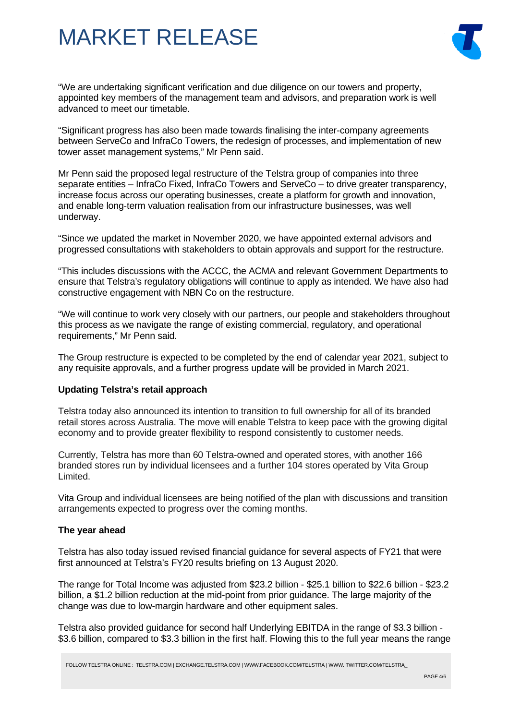

"We are undertaking significant verification and due diligence on our towers and property, appointed key members of the management team and advisors, and preparation work is well advanced to meet our timetable.

"Significant progress has also been made towards finalising the inter-company agreements between ServeCo and InfraCo Towers, the redesign of processes, and implementation of new tower asset management systems," Mr Penn said.

Mr Penn said the proposed legal restructure of the Telstra group of companies into three separate entities – InfraCo Fixed, InfraCo Towers and ServeCo – to drive greater transparency, increase focus across our operating businesses, create a platform for growth and innovation, and enable long-term valuation realisation from our infrastructure businesses, was well underway.

"Since we updated the market in November 2020, we have appointed external advisors and progressed consultations with stakeholders to obtain approvals and support for the restructure.

"This includes discussions with the ACCC, the ACMA and relevant Government Departments to ensure that Telstra's regulatory obligations will continue to apply as intended. We have also had constructive engagement with NBN Co on the restructure.

"We will continue to work very closely with our partners, our people and stakeholders throughout this process as we navigate the range of existing commercial, regulatory, and operational requirements," Mr Penn said.

The Group restructure is expected to be completed by the end of calendar year 2021, subject to any requisite approvals, and a further progress update will be provided in March 2021.

#### **Updating Telstra's retail approach**

Telstra today also announced its intention to transition to full ownership for all of its branded retail stores across Australia. The move will enable Telstra to keep pace with the growing digital economy and to provide greater flexibility to respond consistently to customer needs.

Currently, Telstra has more than 60 Telstra-owned and operated stores, with another 166 branded stores run by individual licensees and a further 104 stores operated by Vita Group Limited.

Vita Group and individual licensees are being notified of the plan with discussions and transition arrangements expected to progress over the coming months.

#### **The year ahead**

Telstra has also today issued revised financial guidance for several aspects of FY21 that were first announced at Telstra's FY20 results briefing on 13 August 2020.

The range for Total Income was adjusted from \$23.2 billion - \$25.1 billion to \$22.6 billion - \$23.2 billion, a \$1.2 billion reduction at the mid-point from prior guidance. The large majority of the change was due to low-margin hardware and other equipment sales.

Telstra also provided guidance for second half Underlying EBITDA in the range of \$3.3 billion - \$3.6 billion, compared to \$3.3 billion in the first half. Flowing this to the full year means the range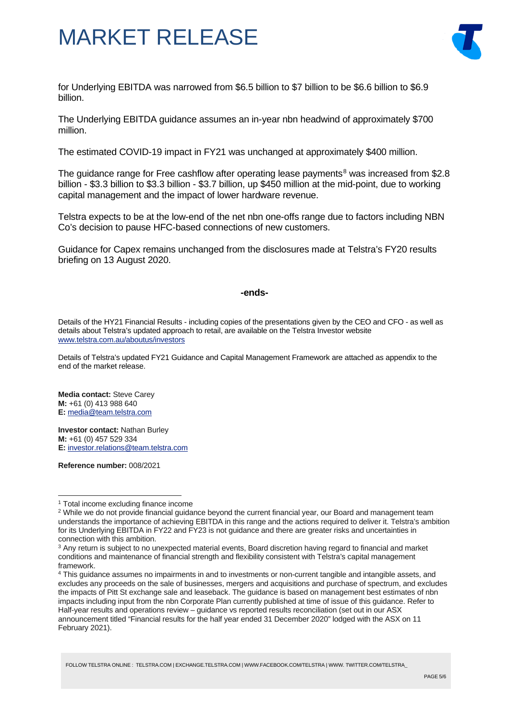

for Underlying EBITDA was narrowed from \$6.5 billion to \$7 billion to be \$6.6 billion to \$6.9 billion.

The Underlying EBITDA guidance assumes an in-year nbn headwind of approximately \$700 million.

The estimated COVID-19 impact in FY21 was unchanged at approximately \$400 million.

The guidance range for Free cashflow after operating lease payments<sup>[8](#page-6-3)</sup> was increased from \$2.8 billion - \$3.3 billion to \$3.3 billion - \$3.7 billion, up \$450 million at the mid-point, due to working capital management and the impact of lower hardware revenue.

Telstra expects to be at the low-end of the net nbn one-offs range due to factors including NBN Co's decision to pause HFC-based connections of new customers.

Guidance for Capex remains unchanged from the disclosures made at Telstra's FY20 results briefing on 13 August 2020.

#### **-ends-**

Details of the HY21 Financial Results - including copies of the presentations given by the CEO and CFO - as well as details about Telstra's updated approach to retail, are available on the Telstra Investor website [www.telstra.com.au/aboutus/investors](http://www.telstra.com.au/aboutus/investors)

Details of Telstra's updated FY21 Guidance and Capital Management Framework are attached as appendix to the end of the market release.

**Media contact:** Steve Carey **M:** +61 (0) 413 988 640 **E:** [media@team.telstra.com](mailto:media@team.telstra.com)

**Investor contact:** Nathan Burley **M:** +61 (0) 457 529 334 **E:** [investor.relations@team.telstra.com](mailto:investor.relations@team.telstra.com)

**Reference number:** 008/2021

<span id="page-5-0"></span><sup>1</sup> Total income excluding finance income

<span id="page-5-1"></span><sup>&</sup>lt;sup>2</sup> While we do not provide financial guidance beyond the current financial year, our Board and management team understands the importance of achieving EBITDA in this range and the actions required to deliver it. Telstra's ambition for its Underlying EBITDA in FY22 and FY23 is not guidance and there are greater risks and uncertainties in connection with this ambition.

<span id="page-5-2"></span><sup>&</sup>lt;sup>3</sup> Any return is subject to no unexpected material events, Board discretion having regard to financial and market conditions and maintenance of financial strength and flexibility consistent with Telstra's capital management framework.

<span id="page-5-3"></span><sup>4</sup> This guidance assumes no impairments in and to investments or non-current tangible and intangible assets, and excludes any proceeds on the sale of businesses, mergers and acquisitions and purchase of spectrum, and excludes the impacts of Pitt St exchange sale and leaseback. The guidance is based on management best estimates of nbn impacts including input from the nbn Corporate Plan currently published at time of issue of this guidance. Refer to Half-year results and operations review – guidance vs reported results reconciliation (set out in our ASX announcement titled "Financial results for the half year ended 31 December 2020" lodged with the ASX on 11 February 2021).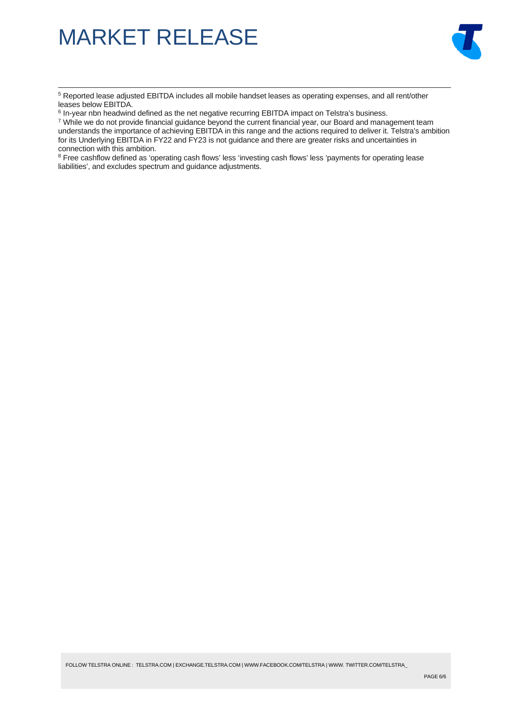

<span id="page-6-0"></span><sup>5</sup> Reported lease adjusted EBITDA includes all mobile handset leases as operating expenses, and all rent/other leases below EBITDA.

<span id="page-6-2"></span><span id="page-6-1"></span><sup>7</sup> While we do not provide financial guidance beyond the current financial year, our Board and management team understands the importance of achieving EBITDA in this range and the actions required to deliver it. Telstra's ambition for its Underlying EBITDA in FY22 and FY23 is not guidance and there are greater risks and uncertainties in connection with this ambition.

<span id="page-6-3"></span><sup>8</sup> Free cashflow defined as 'operating cash flows' less 'investing cash flows' less 'payments for operating lease liabilities', and excludes spectrum and guidance adjustments.

 $6$  In-year nbn headwind defined as the net negative recurring EBITDA impact on Telstra's business.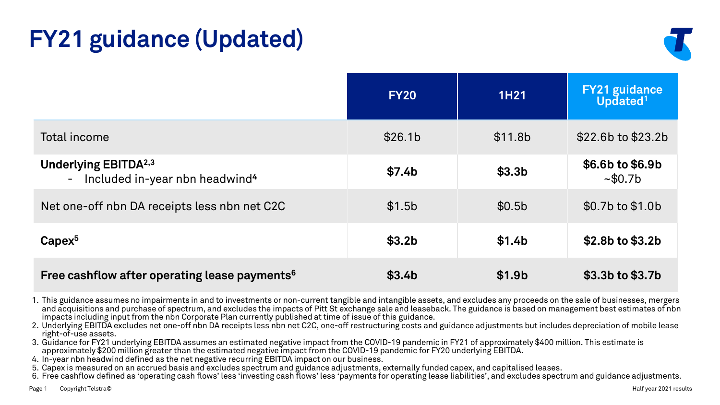# **FY21 guidance (Updated)**



|                                                                                         | <b>FY20</b>        | <b>1H21</b>         | <b>FY21 guidance</b><br>Updated <sup>1</sup> |
|-----------------------------------------------------------------------------------------|--------------------|---------------------|----------------------------------------------|
| Total income                                                                            | \$26.1b            | \$11.8 <sub>b</sub> | $$22.6b$ to $$23.2b$                         |
| <b>Underlying EBITDA</b> <sup>2,3</sup><br>- Included in-year nbn headwind <sup>4</sup> | \$7.4 <sub>b</sub> | \$3.3 <sub>b</sub>  | \$6.6b to \$6.9b<br>~10.7 <sub>b</sub>       |
| Net one-off nbn DA receipts less nbn net C2C                                            | \$1.5 <sub>b</sub> | \$0.5 <sub>b</sub>  | \$0.7b to \$1.0b                             |
| $Capex^5$                                                                               | \$3.2 <sub>b</sub> | \$1.4 <sub>b</sub>  | $$2.8b$$ to $$3.2b$$                         |
| Free cashflow after operating lease payments <sup>6</sup>                               | \$3.4 <sub>b</sub> | \$1.9 <sub>b</sub>  | \$3.3b to \$3.7b                             |

1. This guidance assumes no impairments in and to investments or non-current tangible and intangible assets, and excludes any proceeds on the sale of businesses, mergers and acquisitions and purchase of spectrum, and excludes the impacts of Pitt St exchange sale and leaseback. The guidance is based on management best estimates of nbn impacts including input from the nbn Corporate Plan currently published at time of issue of this guidance.

2. Underlying EBITDA excludes net one-off nbn DA receipts less nbn net C2C, one-off restructuring costs and guidance adjustments but includes depreciation of mobile lease right-of-use assets.

3. Guidance for FY21 underlying EBITDA assumes an estimated negative impact from the COVID-19 pandemic in FY21 of approximately \$400 million. This estimate is approximately \$200 million greater than the estimated negative impact from the COVID-19 pandemic for FY20 underlying EBITDA.

4. In-year nbn headwind defined as the net negative recurring EBITDA impact on our business.

5. Capex is measured on an accrued basis and excludes spectrum and guidance adjustments, externally funded capex, and capitalised leases.

6. Free cashflow defined as 'operating cash flows' less 'investing cash flows' less 'payments for operating lease liabilities', and excludes spectrum and guidance adjustments.